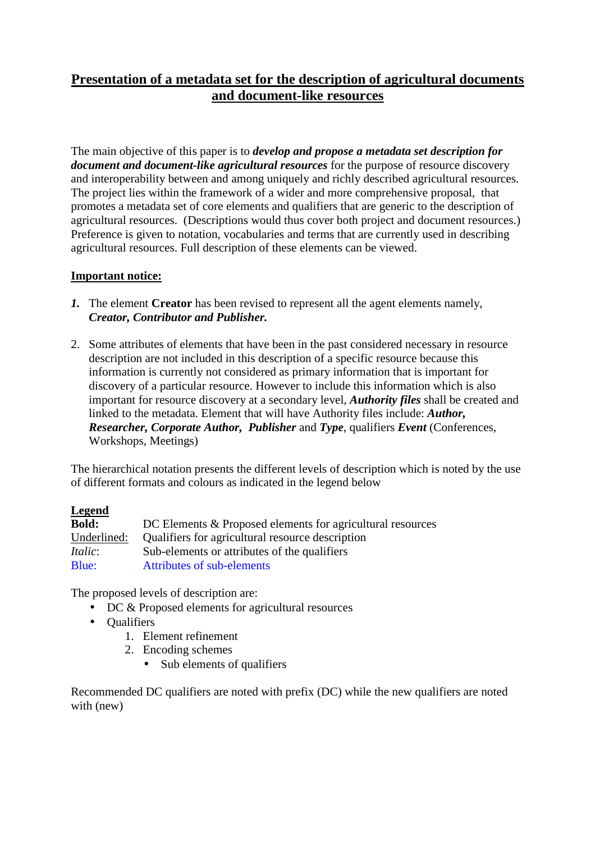# **Presentation of a metadata set for the description of agricultural documents and document-like resources**

The main objective of this paper is to *develop and propose a metadata set description for document and document-like agricultural resources* for the purpose of resource discovery and interoperability between and among uniquely and richly described agricultural resources. The project lies within the framework of a wider and more comprehensive proposal, that promotes a metadata set of core elements and qualifiers that are generic to the description of agricultural resources. (Descriptions would thus cover both project and document resources.) Preference is given to notation, vocabularies and terms that are currently used in describing agricultural resources. Full description of these elements can be viewed.

## **Important notice:**

- *1.* The element **Creator** has been revised to represent all the agent elements namely, *Creator, Contributor and Publisher.*
- 2. Some attributes of elements that have been in the past considered necessary in resource description are not included in this description of a specific resource because this information is currently not considered as primary information that is important for discovery of a particular resource. However to include this information which is also important for resource discovery at a secondary level, *Authority files* shall be created and linked to the metadata. Element that will have Authority files include: *Author, Researcher, Corporate Author, Publisher* and *Type*, qualifiers *Event* (Conferences, Workshops, Meetings)

The hierarchical notation presents the different levels of description which is noted by the use of different formats and colours as indicated in the legend below

# **Legend**

| <b>Bold:</b>    | DC Elements & Proposed elements for agricultural resources |
|-----------------|------------------------------------------------------------|
| Underlined:     | Qualifiers for agricultural resource description           |
| <i>Italic</i> : | Sub-elements or attributes of the qualifiers               |
| Blue:           | Attributes of sub-elements                                 |

The proposed levels of description are:

- DC & Proposed elements for agricultural resources
- Qualifiers
	- 1. Element refinement
	- 2. Encoding schemes
		- Sub elements of qualifiers

Recommended DC qualifiers are noted with prefix (DC) while the new qualifiers are noted with (new)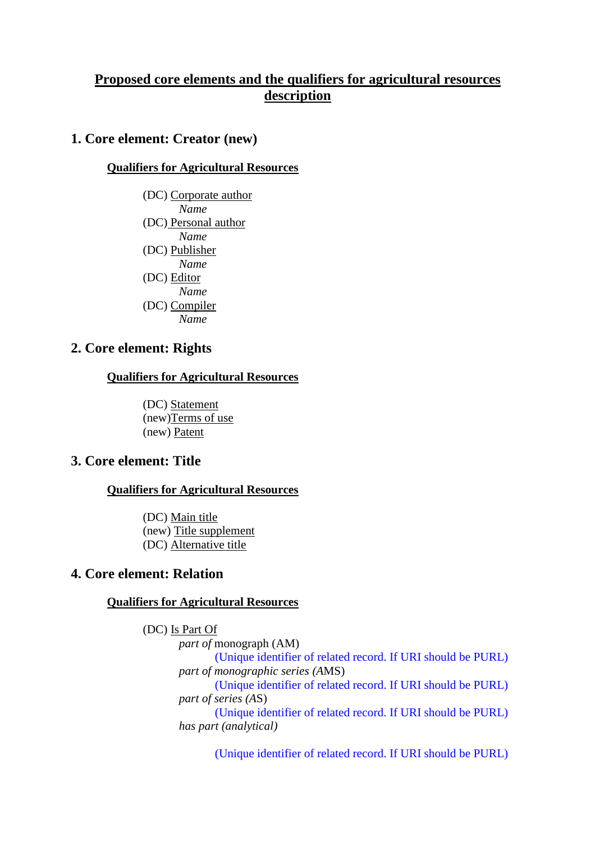# **Proposed core elements and the qualifiers for agricultural resources description**

# **1. Core element: Creator (new)**

### **Qualifiers for Agricultural Resources**

(DC) Corporate author *Name*  (DC) Personal author *Name*  (DC) Publisher *Name*  (DC) Editor *Name*  (DC) Compiler *Name* 

## **2. Core element: Rights**

### **Qualifiers for Agricultural Resources**

 (DC) Statement (new)Terms of use (new) Patent

# **3. Core element: Title**

### **Qualifiers for Agricultural Resources**

(DC) Main title (new) Title supplement (DC) Alternative title

## **4. Core element: Relation**

### **Qualifiers for Agricultural Resources**

(DC) Is Part Of *part of* monograph (AM) (Unique identifier of related record. If URI should be PURL) *part of monographic series (A*MS) (Unique identifier of related record. If URI should be PURL) *part of series (A*S) (Unique identifier of related record. If URI should be PURL) *has part (analytical)*

(Unique identifier of related record. If URI should be PURL)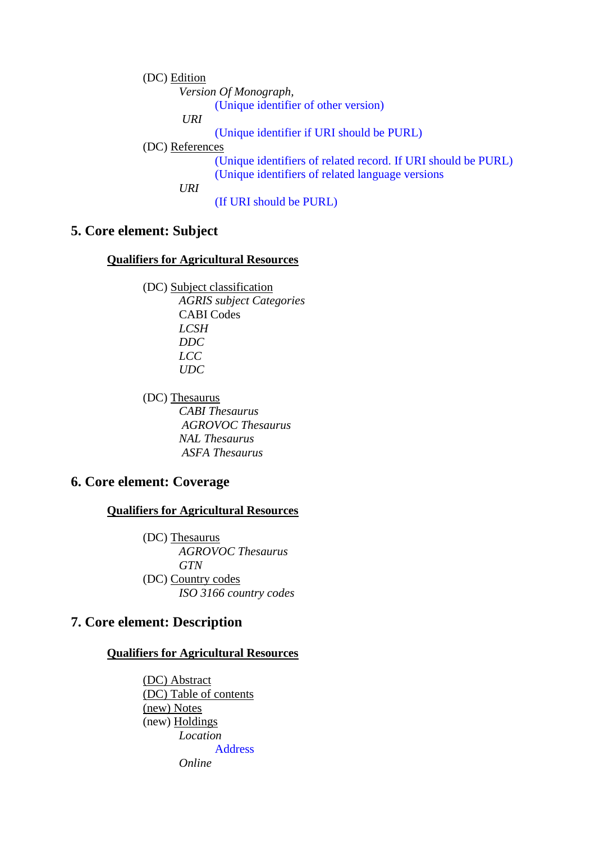(DC) Edition *Version Of Monograph,*  (Unique identifier of other version)  *URI* (Unique identifier if URI should be PURL) (DC) References (Unique identifiers of related record. If URI should be PURL) (Unique identifiers of related language versions *URI*  (If URI should be PURL)

# **5. Core element: Subject**

### **Qualifiers for Agricultural Resources**

 (DC) Subject classification *AGRIS subject Categories* CABI Codes *LCSH DDC LCC UDC*

 (DC) Thesaurus *CABI Thesaurus AGROVOC Thesaurus NAL Thesaurus ASFA Thesaurus*

## **6. Core element: Coverage**

**Qualifiers for Agricultural Resources**

 (DC) Thesaurus *AGROVOC Thesaurus GTN*  (DC) Country codes *ISO 3166 country codes*

# **7. Core element: Description**

### **Qualifiers for Agricultural Resources**

(DC) Abstract (DC) Table of contents (new) Notes (new) Holdings *Location*  Address *Online*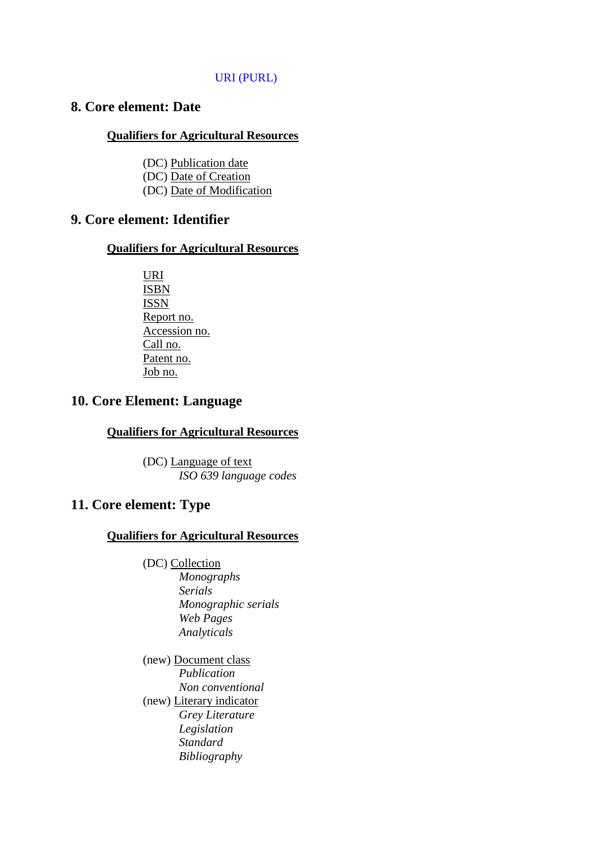## URI (PURL)

# **8. Core element: Date**

#### **Qualifiers for Agricultural Resources**

(DC) Publication date (DC) Date of Creation (DC) Date of Modification

## **9. Core element: Identifier**

### **Qualifiers for Agricultural Resources**

 URI ISBN ISSN Report no. Accession no. Call no. Patent no. Job no.

# **10. Core Element: Language**

### **Qualifiers for Agricultural Resources**

 (DC) Language of text *ISO 639 language codes* 

# **11. Core element: Type**

## **Qualifiers for Agricultural Resources**

- (DC) Collection *Monographs Serials Monographic serials Web Pages Analyticals*
- (new) Document class *Publication Non conventional*  (new) Literary indicator *Grey Literature Legislation Standard Bibliography*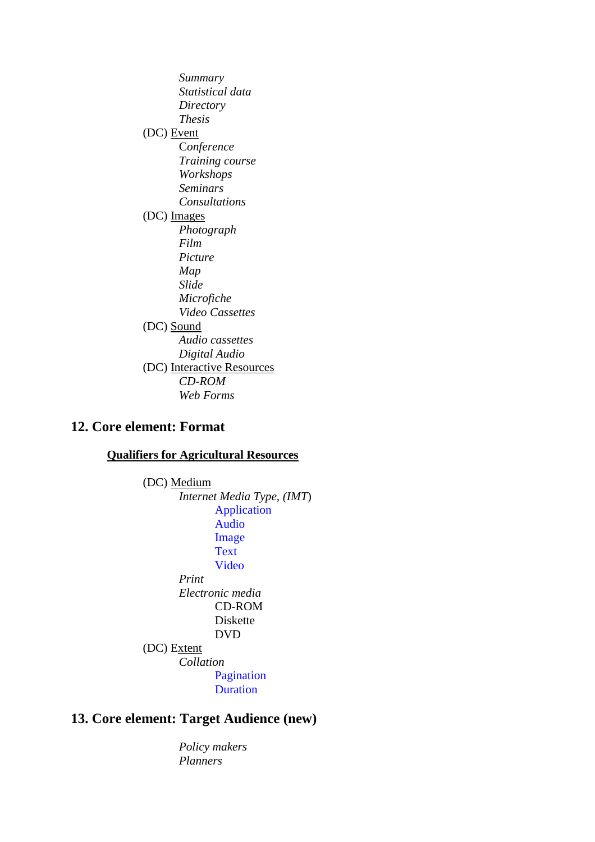*Summary Statistical data Directory Thesis* (DC) Event C*onference Training course Workshops Seminars Consultations*  (DC) Images *Photograph Film Picture Map Slide Microfiche Video Cassettes* (DC) Sound *Audio cassettes Digital Audio*  (DC) Interactive Resources *CD-ROM Web Forms*

## **12. Core element: Format**

#### **Qualifiers for Agricultural Resources**

 (DC) Medium *Internet Media Type, (IMT*) Application Audio Image **Text**  Video *Print Electronic media* CD-ROM Diskette DVD (DC) Extent *Collation* Pagination Duration

# **13. Core element: Target Audience (new)**

 *Policy makers Planners*